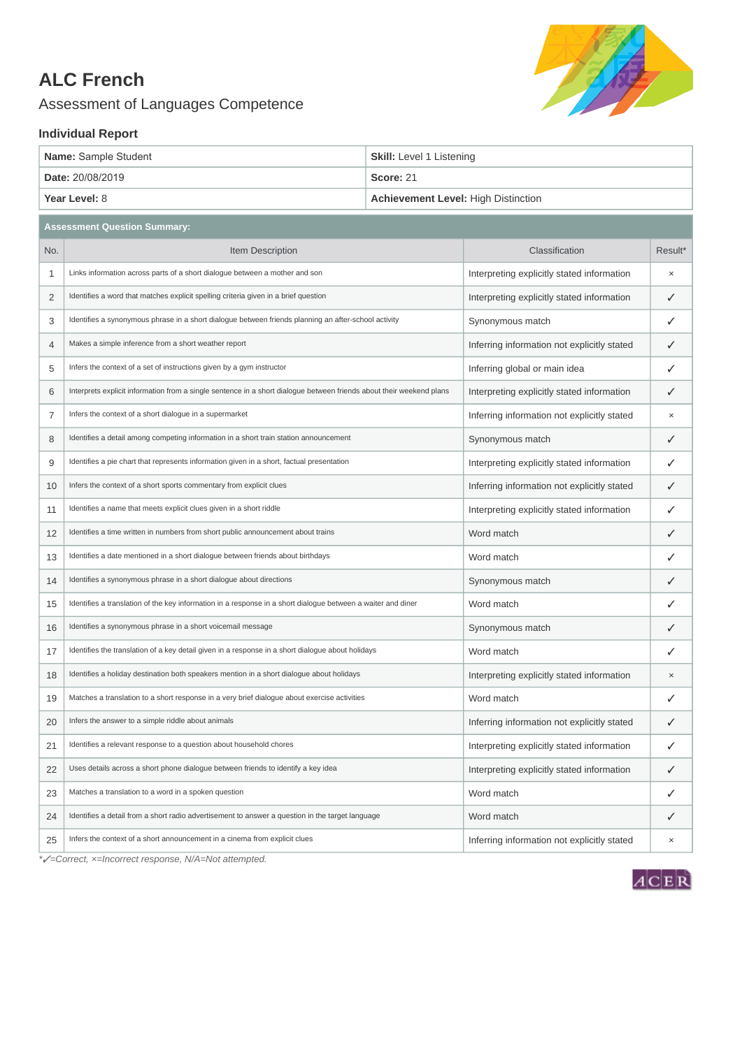## **ALC French**

Assessment of Languages Competence



## **Individual Report**

| Name: Sample Student | <b>Skill:</b> Level 1 Listening     |
|----------------------|-------------------------------------|
| Date: 20/08/2019     | Score: 21                           |
| Year Level: 8        | Achievement Level: High Distinction |

|                | <b>Assessment Question Summary:</b>                                                                                  |                                             |              |
|----------------|----------------------------------------------------------------------------------------------------------------------|---------------------------------------------|--------------|
| No.            | Item Description                                                                                                     | Classification                              | Result*      |
| 1              | Links information across parts of a short dialogue between a mother and son                                          | Interpreting explicitly stated information  | $\times$     |
| $\overline{2}$ | Identifies a word that matches explicit spelling criteria given in a brief question                                  | Interpreting explicitly stated information  | $\checkmark$ |
| 3              | Identifies a synonymous phrase in a short dialogue between friends planning an after-school activity                 | Synonymous match                            | ✓            |
| 4              | Makes a simple inference from a short weather report                                                                 | Inferring information not explicitly stated | ✓            |
| 5              | Infers the context of a set of instructions given by a gym instructor                                                | Inferring global or main idea               | ✓            |
| 6              | Interprets explicit information from a single sentence in a short dialogue between friends about their weekend plans | Interpreting explicitly stated information  | ✓            |
| $\overline{7}$ | Infers the context of a short dialogue in a supermarket                                                              | Inferring information not explicitly stated | $\times$     |
| 8              | Identifies a detail among competing information in a short train station announcement                                | Synonymous match                            | $\checkmark$ |
| 9              | Identifies a pie chart that represents information given in a short, factual presentation                            | Interpreting explicitly stated information  | ✓            |
| 10             | Infers the context of a short sports commentary from explicit clues                                                  | Inferring information not explicitly stated | ✓            |
| 11             | Identifies a name that meets explicit clues given in a short riddle                                                  | Interpreting explicitly stated information  | ✓            |
| 12             | Identifies a time written in numbers from short public announcement about trains                                     | Word match                                  | ✓            |
| 13             | Identifies a date mentioned in a short dialogue between friends about birthdays                                      | Word match                                  | ✓            |
| 14             | Identifies a synonymous phrase in a short dialogue about directions                                                  | Synonymous match                            | ✓            |
| 15             | Identifies a translation of the key information in a response in a short dialogue between a waiter and diner         | Word match                                  | ✓            |
| 16             | Identifies a synonymous phrase in a short voicemail message                                                          | Synonymous match                            | ✓            |
| 17             | Identifies the translation of a key detail given in a response in a short dialogue about holidays                    | Word match                                  | ✓            |
| 18             | Identifies a holiday destination both speakers mention in a short dialogue about holidays                            | Interpreting explicitly stated information  | $\times$     |
| 19             | Matches a translation to a short response in a very brief dialogue about exercise activities                         | Word match                                  | ✓            |
| 20             | Infers the answer to a simple riddle about animals                                                                   | Inferring information not explicitly stated | ✓            |
| 21             | Identifies a relevant response to a question about household chores                                                  | Interpreting explicitly stated information  | ✓            |
| 22             | Uses details across a short phone dialogue between friends to identify a key idea                                    | Interpreting explicitly stated information  | $\checkmark$ |
| 23             | Matches a translation to a word in a spoken question                                                                 | Word match                                  | ✓            |
| 24             | Identifies a detail from a short radio advertisement to answer a question in the target language                     | Word match                                  | ✓            |
| 25             | Infers the context of a short announcement in a cinema from explicit clues                                           | Inferring information not explicitly stated | $\times$     |
|                |                                                                                                                      |                                             |              |

*\**✓*=Correct, ×=Incorrect response, N/A=Not attempted.*